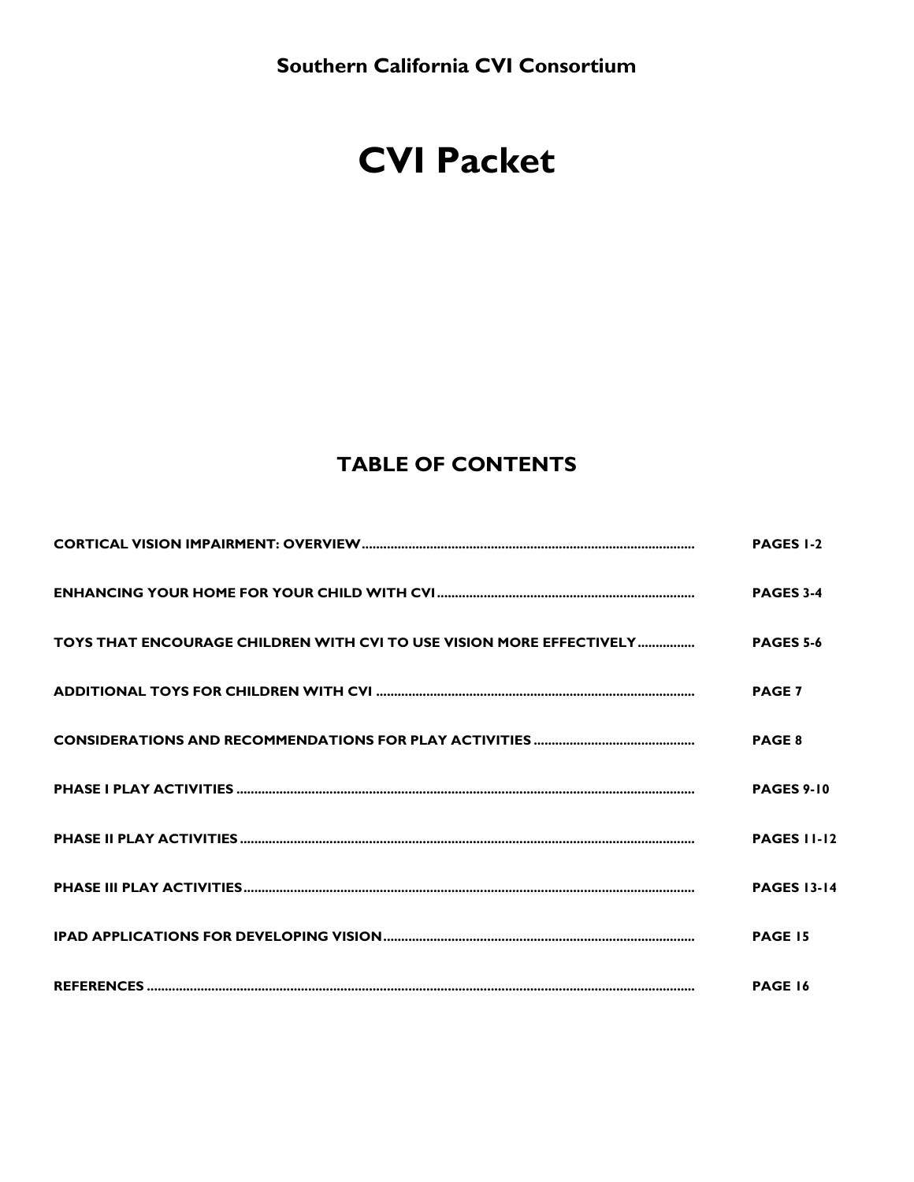# **CVI Packet**

## **TABLE OF CONTENTS**

| <b>PAGES 1-2</b>   |
|--------------------|
| <b>PAGES 3-4</b>   |
|                    |
| <b>PAGE 7</b>      |
| <b>PAGE 8</b>      |
| <b>PAGES 9-10</b>  |
| <b>PAGES 11-12</b> |
| <b>PAGES 13-14</b> |
| <b>PAGE 15</b>     |
| PAGE 16            |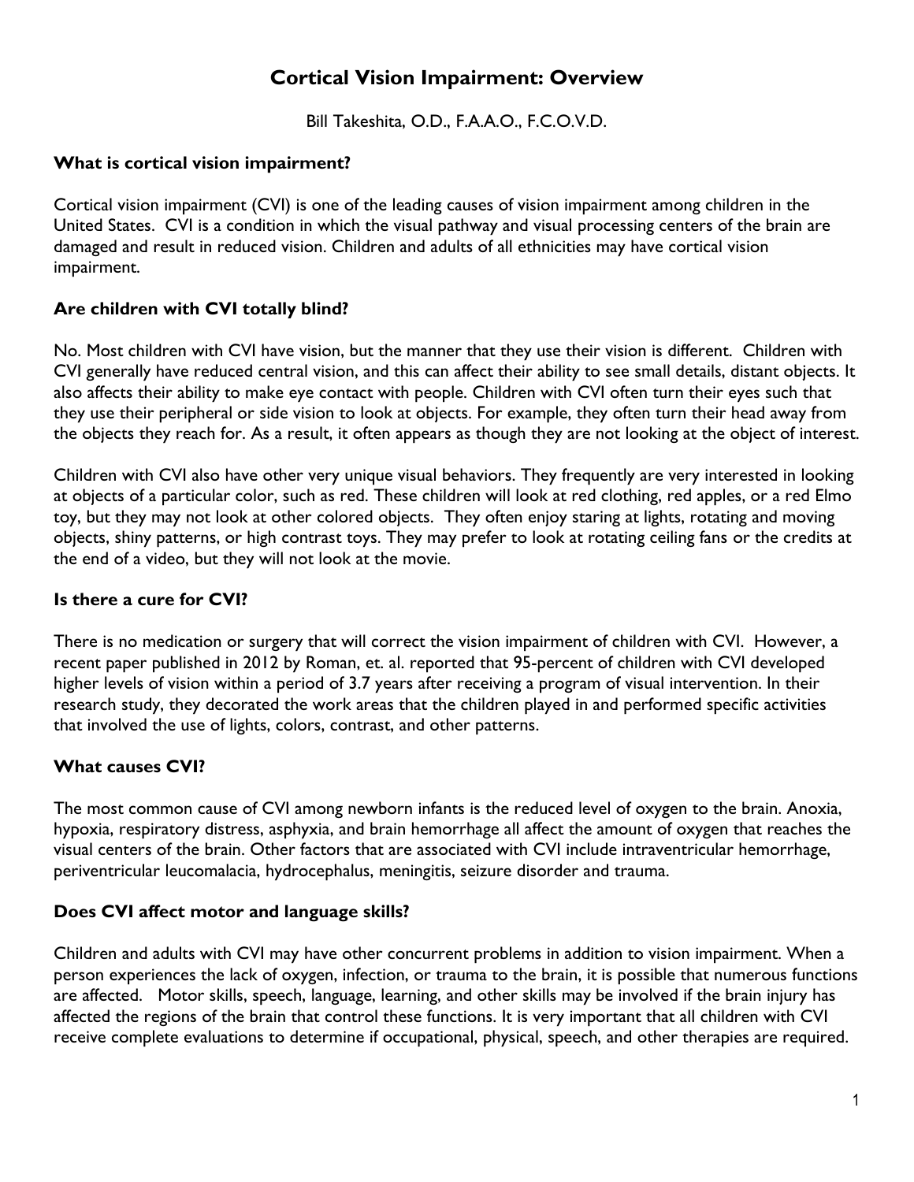## **Cortical Vision Impairment: Overview**

Bill Takeshita, O.D., F.A.A.O., F.C.O.V.D.

#### **What is cortical vision impairment?**

Cortical vision impairment (CVI) is one of the leading causes of vision impairment among children in the United States. CVI is a condition in which the visual pathway and visual processing centers of the brain are damaged and result in reduced vision. Children and adults of all ethnicities may have cortical vision impairment.

#### **Are children with CVI totally blind?**

No. Most children with CVI have vision, but the manner that they use their vision is different. Children with CVI generally have reduced central vision, and this can affect their ability to see small details, distant objects. It also affects their ability to make eye contact with people. Children with CVI often turn their eyes such that they use their peripheral or side vision to look at objects. For example, they often turn their head away from the objects they reach for. As a result, it often appears as though they are not looking at the object of interest.

Children with CVI also have other very unique visual behaviors. They frequently are very interested in looking at objects of a particular color, such as red. These children will look at red clothing, red apples, or a red Elmo toy, but they may not look at other colored objects. They often enjoy staring at lights, rotating and moving objects, shiny patterns, or high contrast toys. They may prefer to look at rotating ceiling fans or the credits at the end of a video, but they will not look at the movie.

#### **Is there a cure for CVI?**

There is no medication or surgery that will correct the vision impairment of children with CVI. However, a recent paper published in 2012 by Roman, et. al. reported that 95-percent of children with CVI developed higher levels of vision within a period of 3.7 years after receiving a program of visual intervention. In their research study, they decorated the work areas that the children played in and performed specific activities that involved the use of lights, colors, contrast, and other patterns.

#### **What causes CVI?**

The most common cause of CVI among newborn infants is the reduced level of oxygen to the brain. Anoxia, hypoxia, respiratory distress, asphyxia, and brain hemorrhage all affect the amount of oxygen that reaches the visual centers of the brain. Other factors that are associated with CVI include intraventricular hemorrhage, periventricular leucomalacia, hydrocephalus, meningitis, seizure disorder and trauma.

#### **Does CVI affect motor and language skills?**

Children and adults with CVI may have other concurrent problems in addition to vision impairment. When a person experiences the lack of oxygen, infection, or trauma to the brain, it is possible that numerous functions are affected. Motor skills, speech, language, learning, and other skills may be involved if the brain injury has affected the regions of the brain that control these functions. It is very important that all children with CVI receive complete evaluations to determine if occupational, physical, speech, and other therapies are required.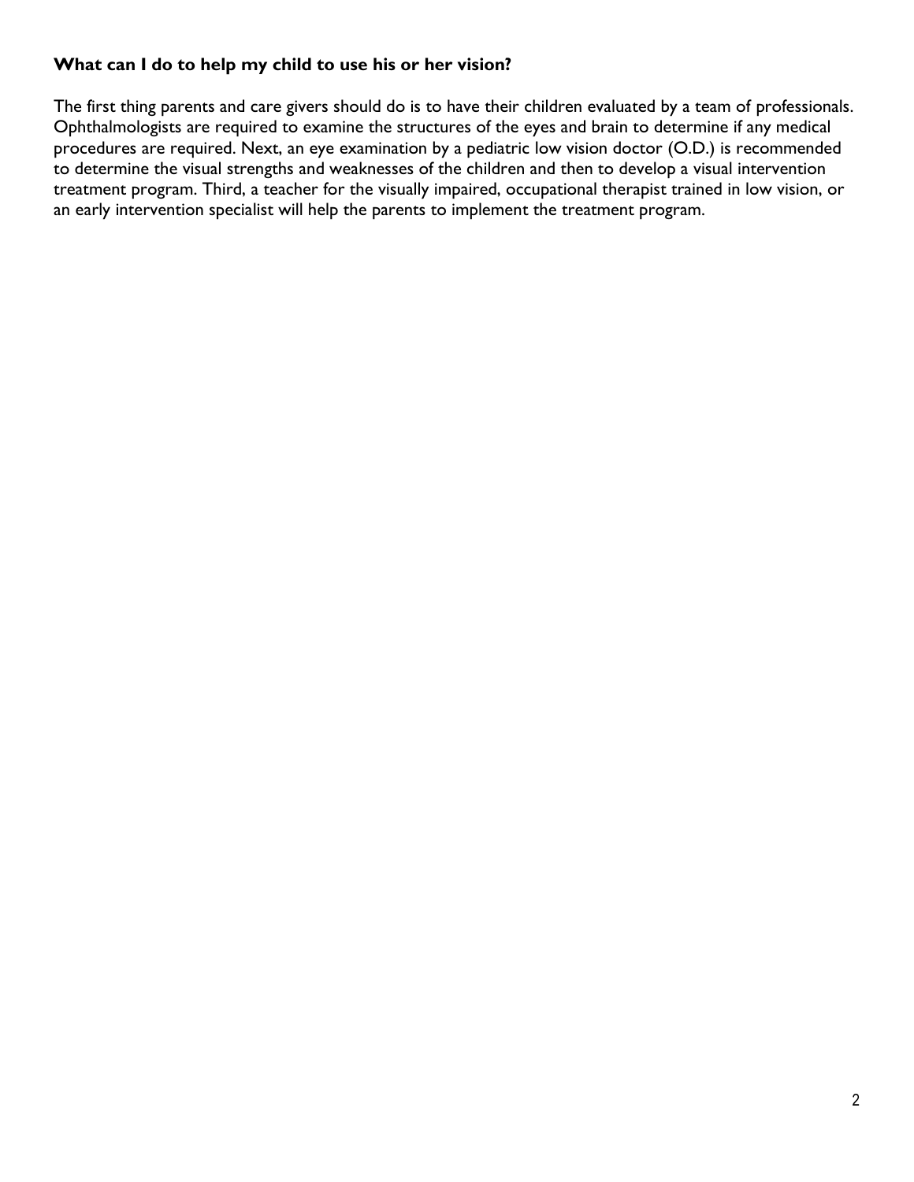#### **What can I do to help my child to use his or her vision?**

The first thing parents and care givers should do is to have their children evaluated by a team of professionals. Ophthalmologists are required to examine the structures of the eyes and brain to determine if any medical procedures are required. Next, an eye examination by a pediatric low vision doctor (O.D.) is recommended to determine the visual strengths and weaknesses of the children and then to develop a visual intervention treatment program. Third, a teacher for the visually impaired, occupational therapist trained in low vision, or an early intervention specialist will help the parents to implement the treatment program.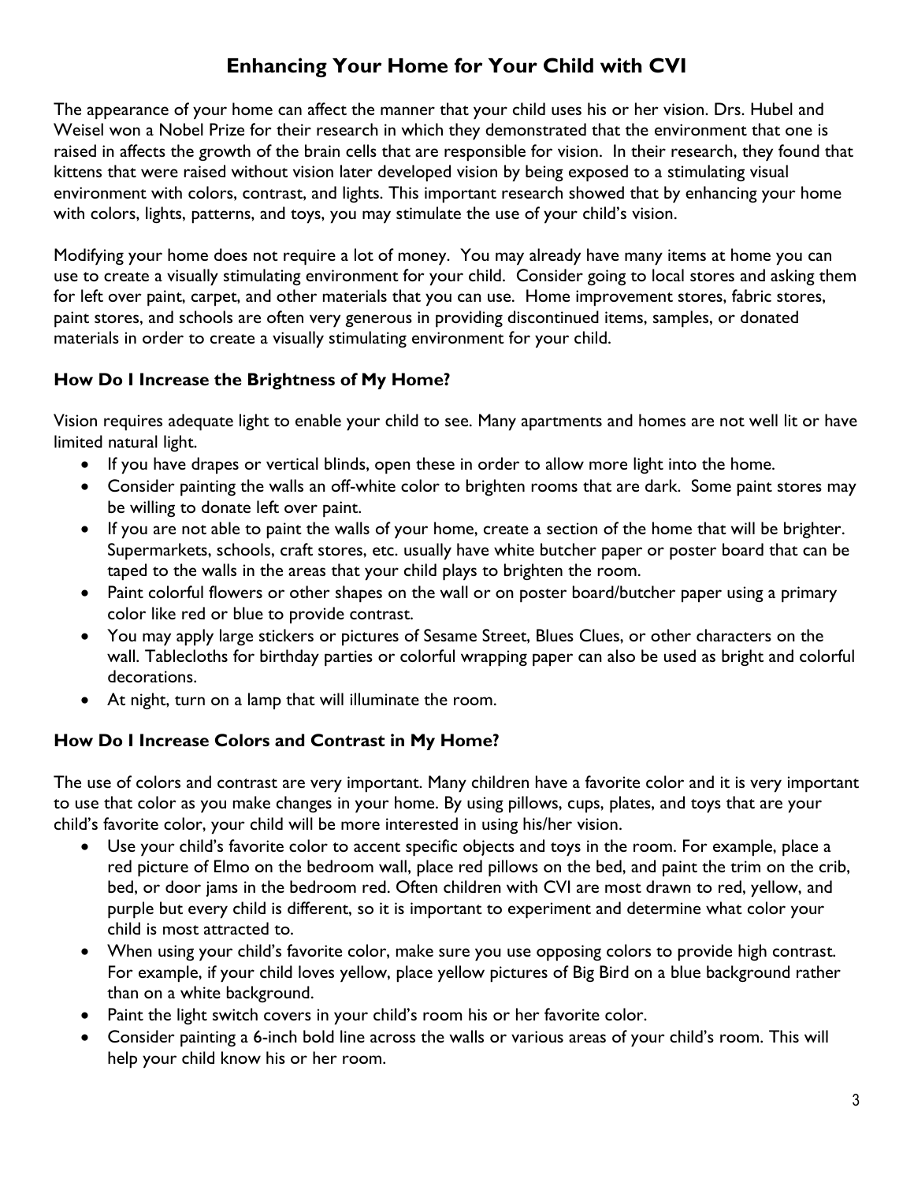## **Enhancing Your Home for Your Child with CVI**

The appearance of your home can affect the manner that your child uses his or her vision. Drs. Hubel and Weisel won a Nobel Prize for their research in which they demonstrated that the environment that one is raised in affects the growth of the brain cells that are responsible for vision. In their research, they found that kittens that were raised without vision later developed vision by being exposed to a stimulating visual environment with colors, contrast, and lights. This important research showed that by enhancing your home with colors, lights, patterns, and toys, you may stimulate the use of your child's vision.

Modifying your home does not require a lot of money. You may already have many items at home you can use to create a visually stimulating environment for your child. Consider going to local stores and asking them for left over paint, carpet, and other materials that you can use. Home improvement stores, fabric stores, paint stores, and schools are often very generous in providing discontinued items, samples, or donated materials in order to create a visually stimulating environment for your child.

#### **How Do I Increase the Brightness of My Home?**

Vision requires adequate light to enable your child to see. Many apartments and homes are not well lit or have limited natural light.

- If you have drapes or vertical blinds, open these in order to allow more light into the home.
- Consider painting the walls an off-white color to brighten rooms that are dark. Some paint stores may be willing to donate left over paint.
- If you are not able to paint the walls of your home, create a section of the home that will be brighter. Supermarkets, schools, craft stores, etc. usually have white butcher paper or poster board that can be taped to the walls in the areas that your child plays to brighten the room.
- Paint colorful flowers or other shapes on the wall or on poster board/butcher paper using a primary color like red or blue to provide contrast.
- You may apply large stickers or pictures of Sesame Street, Blues Clues, or other characters on the wall. Tablecloths for birthday parties or colorful wrapping paper can also be used as bright and colorful decorations.
- At night, turn on a lamp that will illuminate the room.

#### **How Do I Increase Colors and Contrast in My Home?**

The use of colors and contrast are very important. Many children have a favorite color and it is very important to use that color as you make changes in your home. By using pillows, cups, plates, and toys that are your child's favorite color, your child will be more interested in using his/her vision.

- Use your child's favorite color to accent specific objects and toys in the room. For example, place a red picture of Elmo on the bedroom wall, place red pillows on the bed, and paint the trim on the crib, bed, or door jams in the bedroom red. Often children with CVI are most drawn to red, yellow, and purple but every child is different, so it is important to experiment and determine what color your child is most attracted to.
- When using your child's favorite color, make sure you use opposing colors to provide high contrast. For example, if your child loves yellow, place yellow pictures of Big Bird on a blue background rather than on a white background.
- Paint the light switch covers in your child's room his or her favorite color.
- Consider painting a 6-inch bold line across the walls or various areas of your child's room. This will help your child know his or her room.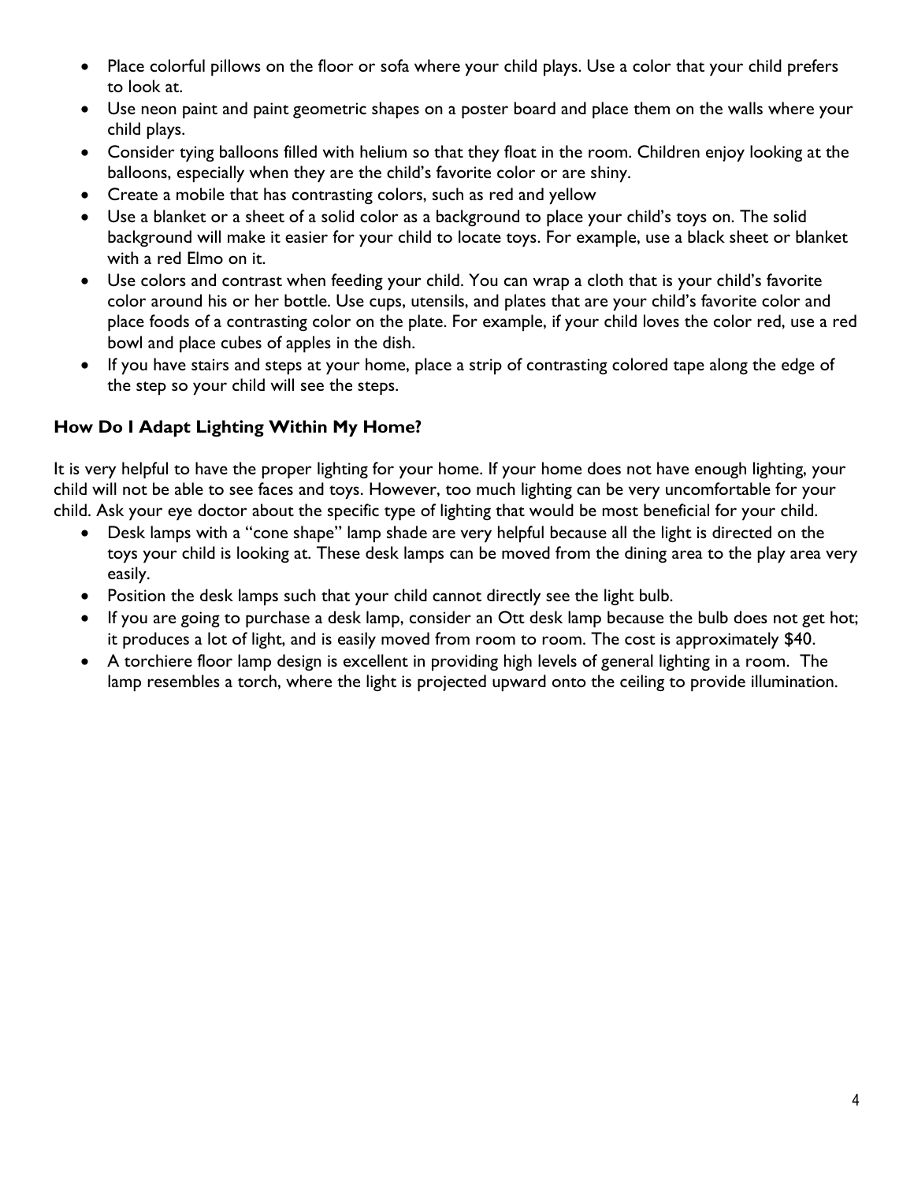- Place colorful pillows on the floor or sofa where your child plays. Use a color that your child prefers to look at.
- Use neon paint and paint geometric shapes on a poster board and place them on the walls where your child plays.
- Consider tying balloons filled with helium so that they float in the room. Children enjoy looking at the balloons, especially when they are the child's favorite color or are shiny.
- Create a mobile that has contrasting colors, such as red and yellow
- Use a blanket or a sheet of a solid color as a background to place your child's toys on. The solid background will make it easier for your child to locate toys. For example, use a black sheet or blanket with a red Elmo on it.
- Use colors and contrast when feeding your child. You can wrap a cloth that is your child's favorite color around his or her bottle. Use cups, utensils, and plates that are your child's favorite color and place foods of a contrasting color on the plate. For example, if your child loves the color red, use a red bowl and place cubes of apples in the dish.
- If you have stairs and steps at your home, place a strip of contrasting colored tape along the edge of the step so your child will see the steps.

#### **How Do I Adapt Lighting Within My Home?**

It is very helpful to have the proper lighting for your home. If your home does not have enough lighting, your child will not be able to see faces and toys. However, too much lighting can be very uncomfortable for your child. Ask your eye doctor about the specific type of lighting that would be most beneficial for your child.

- Desk lamps with a "cone shape" lamp shade are very helpful because all the light is directed on the toys your child is looking at. These desk lamps can be moved from the dining area to the play area very easily.
- Position the desk lamps such that your child cannot directly see the light bulb.
- If you are going to purchase a desk lamp, consider an Ott desk lamp because the bulb does not get hot; it produces a lot of light, and is easily moved from room to room. The cost is approximately \$40.
- A torchiere floor lamp design is excellent in providing high levels of general lighting in a room. The lamp resembles a torch, where the light is projected upward onto the ceiling to provide illumination.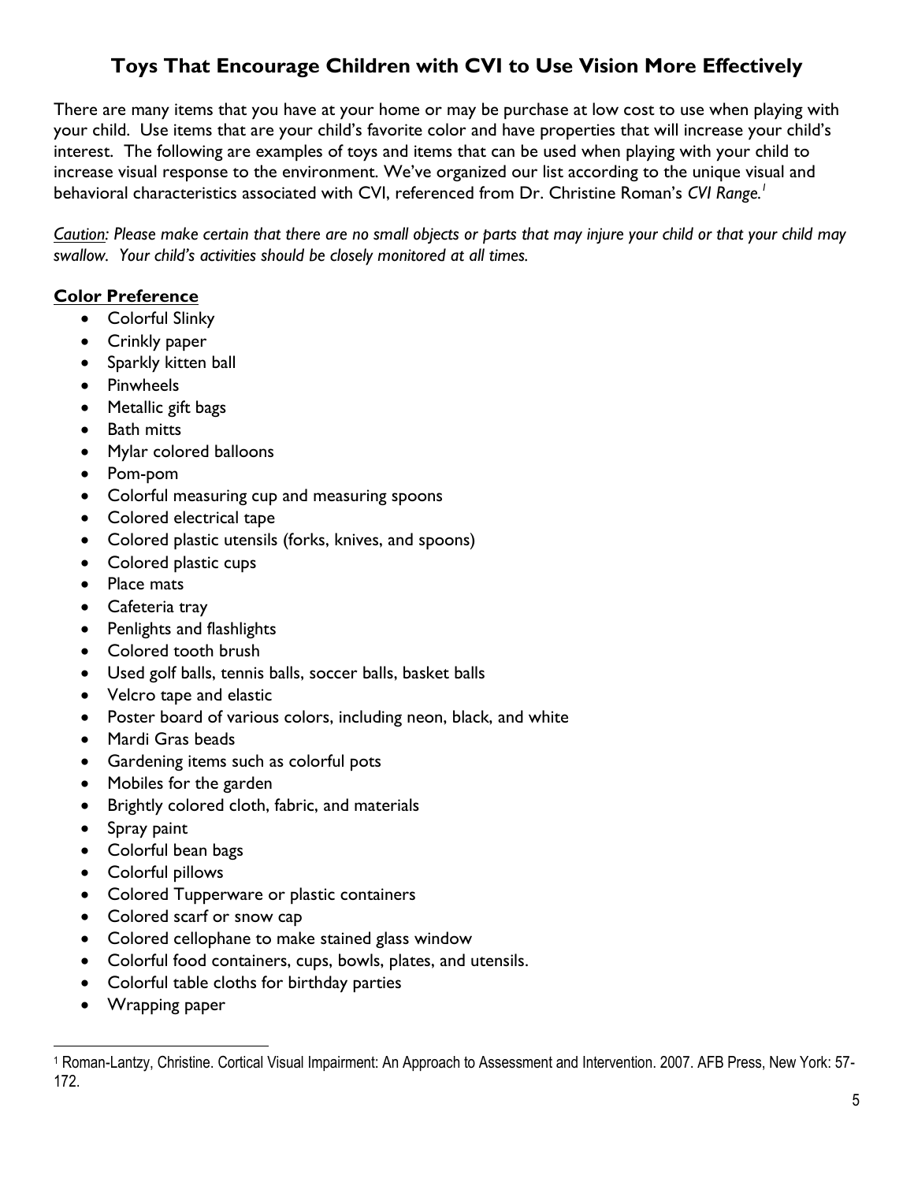## **Toys That Encourage Children with CVI to Use Vision More Effectively**

There are many items that you have at your home or may be purchase at low cost to use when playing with your child. Use items that are your child's favorite color and have properties that will increase your child's interest. The following are examples of toys and items that can be used when playing with your child to increase visual response to the environment. We've organized our list according to the unique visual and behavioral characteristics associated with CVI, referenced from Dr. Christine Roman's *CVI Range.<sup>1</sup>*

*Caution: Please make certain that there are no small objects or parts that may injure your child or that your child may swallow. Your child's activities should be closely monitored at all times.*

#### **Color Preference**

- Colorful Slinky
- Crinkly paper
- Sparkly kitten ball
- Pinwheels
- Metallic gift bags
- Bath mitts
- Mylar colored balloons
- Pom-pom
- Colorful measuring cup and measuring spoons
- Colored electrical tape
- Colored plastic utensils (forks, knives, and spoons)
- Colored plastic cups
- Place mats
- Cafeteria tray
- Penlights and flashlights
- Colored tooth brush
- Used golf balls, tennis balls, soccer balls, basket balls
- Velcro tape and elastic
- Poster board of various colors, including neon, black, and white
- Mardi Gras beads
- Gardening items such as colorful pots
- Mobiles for the garden
- Brightly colored cloth, fabric, and materials
- Spray paint
- Colorful bean bags
- Colorful pillows
- Colored Tupperware or plastic containers
- Colored scarf or snow cap
- Colored cellophane to make stained glass window
- Colorful food containers, cups, bowls, plates, and utensils.
- Colorful table cloths for birthday parties
- Wrapping paper

<sup>1</sup> Roman-Lantzy, Christine. Cortical Visual Impairment: An Approach to Assessment and Intervention. 2007. AFB Press, New York: 57- 172.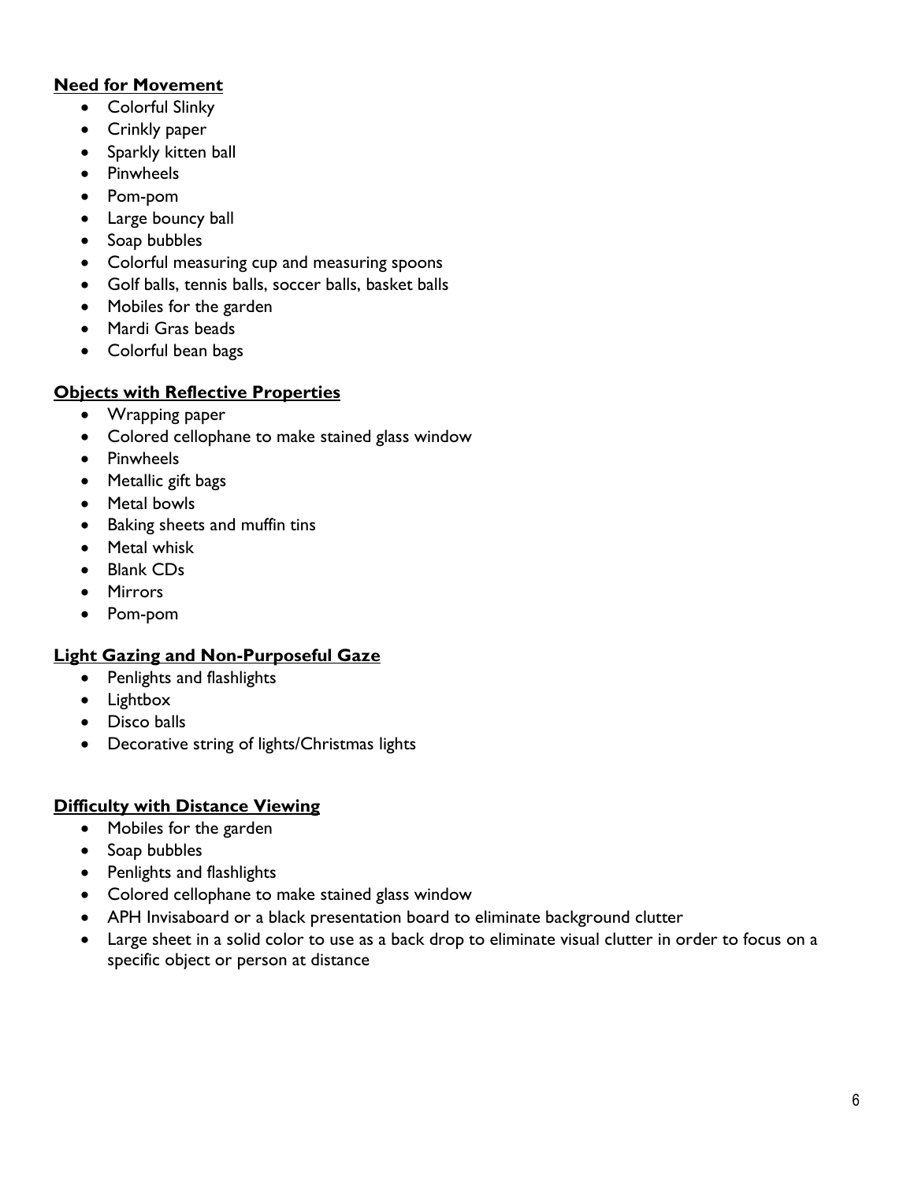#### **Need for Movement**

- Colorful Slinky
- Crinkly paper
- Sparkly kitten ball
- Pinwheels
- Pom-pom
- Large bouncy ball
- Soap bubbles
- Colorful measuring cup and measuring spoons
- Golf balls, tennis balls, soccer balls, basket balls
- Mobiles for the garden
- Mardi Gras beads
- Colorful bean bags

#### **Objects with Reflective Properties**

- Wrapping paper
- Colored cellophane to make stained glass window
- Pinwheels
- Metallic gift bags
- Metal bowls
- Baking sheets and muffin tins
- Metal whisk
- Blank CDs
- Mirrors
- Pom-pom

#### **Light Gazing and Non-Purposeful Gaze**

- Penlights and flashlights
- Lightbox
- Disco balls
- Decorative string of lights/Christmas lights

#### **Difficulty with Distance Viewing**

- Mobiles for the garden
- Soap bubbles
- Penlights and flashlights
- Colored cellophane to make stained glass window
- APH Invisaboard or a black presentation board to eliminate background clutter
- Large sheet in a solid color to use as a back drop to eliminate visual clutter in order to focus on a specific object or person at distance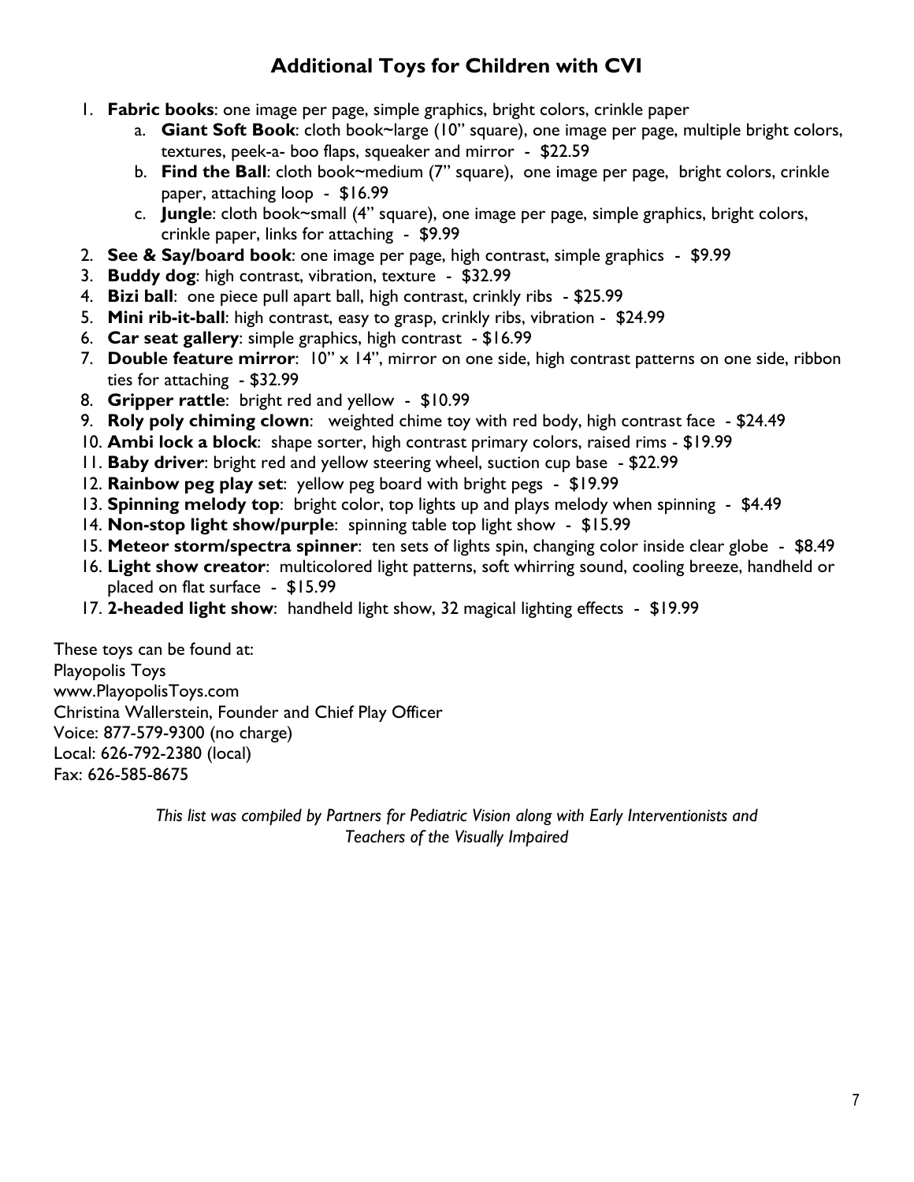## **Additional Toys for Children with CVI**

- 1. **Fabric books**: one image per page, simple graphics, bright colors, crinkle paper
	- a. **Giant Soft Book**: cloth book~large (10" square), one image per page, multiple bright colors, textures, peek-a- boo flaps, squeaker and mirror - \$22.59
	- b. **Find the Ball**: cloth book~medium (7" square), one image per page, bright colors, crinkle paper, attaching loop - \$16.99
	- c. **Jungle**: cloth book~small (4" square), one image per page, simple graphics, bright colors, crinkle paper, links for attaching - \$9.99
- 2. **See & Say/board book**: one image per page, high contrast, simple graphics \$9.99
- 3. **Buddy dog**: high contrast, vibration, texture \$32.99
- 4. **Bizi ball**: one piece pull apart ball, high contrast, crinkly ribs \$25.99
- 5. **Mini rib-it-ball**: high contrast, easy to grasp, crinkly ribs, vibration \$24.99
- 6. **Car seat gallery**: simple graphics, high contrast \$16.99
- 7. **Double feature mirror**: 10" x 14", mirror on one side, high contrast patterns on one side, ribbon ties for attaching - \$32.99
- 8. **Gripper rattle**: bright red and yellow \$10.99
- 9. **Roly poly chiming clown**: weighted chime toy with red body, high contrast face \$24.49
- 10. **Ambi lock a block**: shape sorter, high contrast primary colors, raised rims \$19.99
- 11. **Baby driver**: bright red and yellow steering wheel, suction cup base \$22.99
- 12. **Rainbow peg play set**: yellow peg board with bright pegs \$19.99
- 13. **Spinning melody top**: bright color, top lights up and plays melody when spinning \$4.49
- 14. **Non-stop light show/purple**: spinning table top light show \$15.99
- 15. **Meteor storm/spectra spinner**: ten sets of lights spin, changing color inside clear globe \$8.49
- 16. **Light show creator**: multicolored light patterns, soft whirring sound, cooling breeze, handheld or placed on flat surface - \$15.99
- 17. **2-headed light show**: handheld light show, 32 magical lighting effects \$19.99

These toys can be found at: Playopolis Toys www.PlayopolisToys.com Christina Wallerstein, Founder and Chief Play Officer Voice: 877-579-9300 (no charge) Local: 626-792-2380 (local) Fax: 626-585-8675

> *This list was compiled by Partners for Pediatric Vision along with Early Interventionists and Teachers of the Visually Impaired*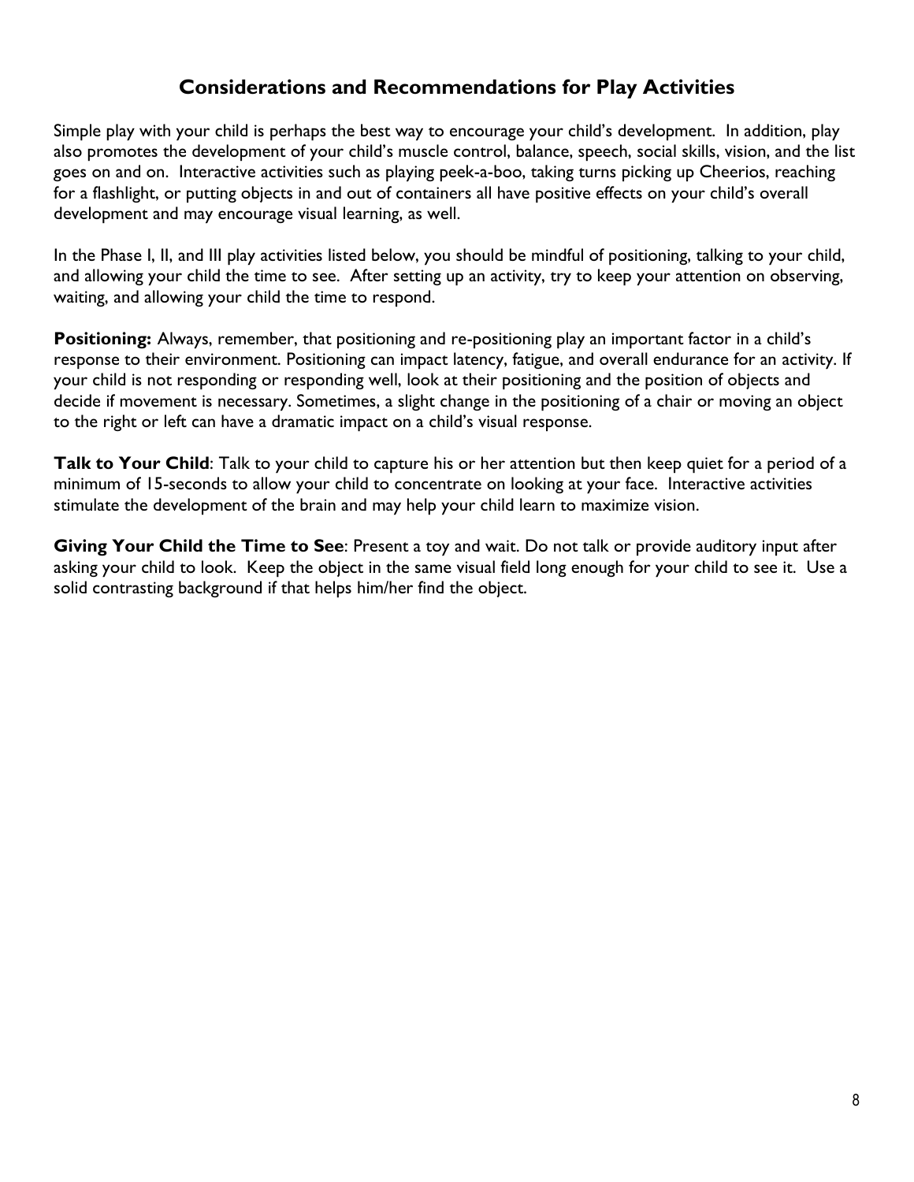### **Considerations and Recommendations for Play Activities**

Simple play with your child is perhaps the best way to encourage your child's development. In addition, play also promotes the development of your child's muscle control, balance, speech, social skills, vision, and the list goes on and on. Interactive activities such as playing peek-a-boo, taking turns picking up Cheerios, reaching for a flashlight, or putting objects in and out of containers all have positive effects on your child's overall development and may encourage visual learning, as well.

In the Phase I, II, and III play activities listed below, you should be mindful of positioning, talking to your child, and allowing your child the time to see. After setting up an activity, try to keep your attention on observing, waiting, and allowing your child the time to respond.

**Positioning:** Always, remember, that positioning and re-positioning play an important factor in a child's response to their environment. Positioning can impact latency, fatigue, and overall endurance for an activity. If your child is not responding or responding well, look at their positioning and the position of objects and decide if movement is necessary. Sometimes, a slight change in the positioning of a chair or moving an object to the right or left can have a dramatic impact on a child's visual response.

**Talk to Your Child**: Talk to your child to capture his or her attention but then keep quiet for a period of a minimum of 15-seconds to allow your child to concentrate on looking at your face. Interactive activities stimulate the development of the brain and may help your child learn to maximize vision.

**Giving Your Child the Time to See**: Present a toy and wait. Do not talk or provide auditory input after asking your child to look. Keep the object in the same visual field long enough for your child to see it. Use a solid contrasting background if that helps him/her find the object.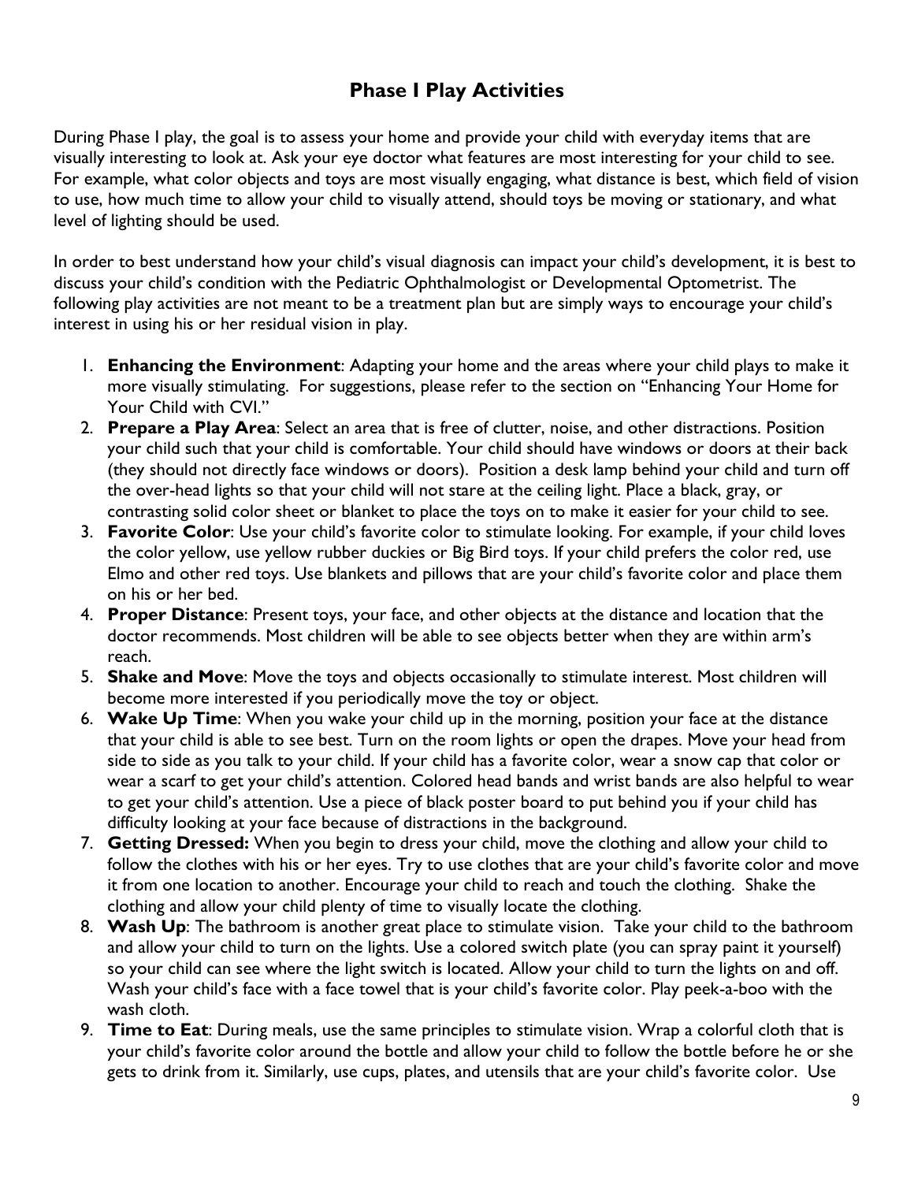## **Phase I Play Activities**

During Phase I play, the goal is to assess your home and provide your child with everyday items that are visually interesting to look at. Ask your eye doctor what features are most interesting for your child to see. For example, what color objects and toys are most visually engaging, what distance is best, which field of vision to use, how much time to allow your child to visually attend, should toys be moving or stationary, and what level of lighting should be used.

In order to best understand how your child's visual diagnosis can impact your child's development, it is best to discuss your child's condition with the Pediatric Ophthalmologist or Developmental Optometrist. The following play activities are not meant to be a treatment plan but are simply ways to encourage your child's interest in using his or her residual vision in play.

- 1. **Enhancing the Environment**: Adapting your home and the areas where your child plays to make it more visually stimulating. For suggestions, please refer to the section on "Enhancing Your Home for Your Child with CVI."
- 2. **Prepare a Play Area**: Select an area that is free of clutter, noise, and other distractions. Position your child such that your child is comfortable. Your child should have windows or doors at their back (they should not directly face windows or doors). Position a desk lamp behind your child and turn off the over-head lights so that your child will not stare at the ceiling light. Place a black, gray, or contrasting solid color sheet or blanket to place the toys on to make it easier for your child to see.
- 3. **Favorite Color**: Use your child's favorite color to stimulate looking. For example, if your child loves the color yellow, use yellow rubber duckies or Big Bird toys. If your child prefers the color red, use Elmo and other red toys. Use blankets and pillows that are your child's favorite color and place them on his or her bed.
- 4. **Proper Distance**: Present toys, your face, and other objects at the distance and location that the doctor recommends. Most children will be able to see objects better when they are within arm's reach.
- 5. **Shake and Move**: Move the toys and objects occasionally to stimulate interest. Most children will become more interested if you periodically move the toy or object.
- 6. **Wake Up Time**: When you wake your child up in the morning, position your face at the distance that your child is able to see best. Turn on the room lights or open the drapes. Move your head from side to side as you talk to your child. If your child has a favorite color, wear a snow cap that color or wear a scarf to get your child's attention. Colored head bands and wrist bands are also helpful to wear to get your child's attention. Use a piece of black poster board to put behind you if your child has difficulty looking at your face because of distractions in the background.
- 7. **Getting Dressed:** When you begin to dress your child, move the clothing and allow your child to follow the clothes with his or her eyes. Try to use clothes that are your child's favorite color and move it from one location to another. Encourage your child to reach and touch the clothing. Shake the clothing and allow your child plenty of time to visually locate the clothing.
- 8. **Wash Up**: The bathroom is another great place to stimulate vision. Take your child to the bathroom and allow your child to turn on the lights. Use a colored switch plate (you can spray paint it yourself) so your child can see where the light switch is located. Allow your child to turn the lights on and off. Wash your child's face with a face towel that is your child's favorite color. Play peek-a-boo with the wash cloth.
- 9. **Time to Eat**: During meals, use the same principles to stimulate vision. Wrap a colorful cloth that is your child's favorite color around the bottle and allow your child to follow the bottle before he or she gets to drink from it. Similarly, use cups, plates, and utensils that are your child's favorite color. Use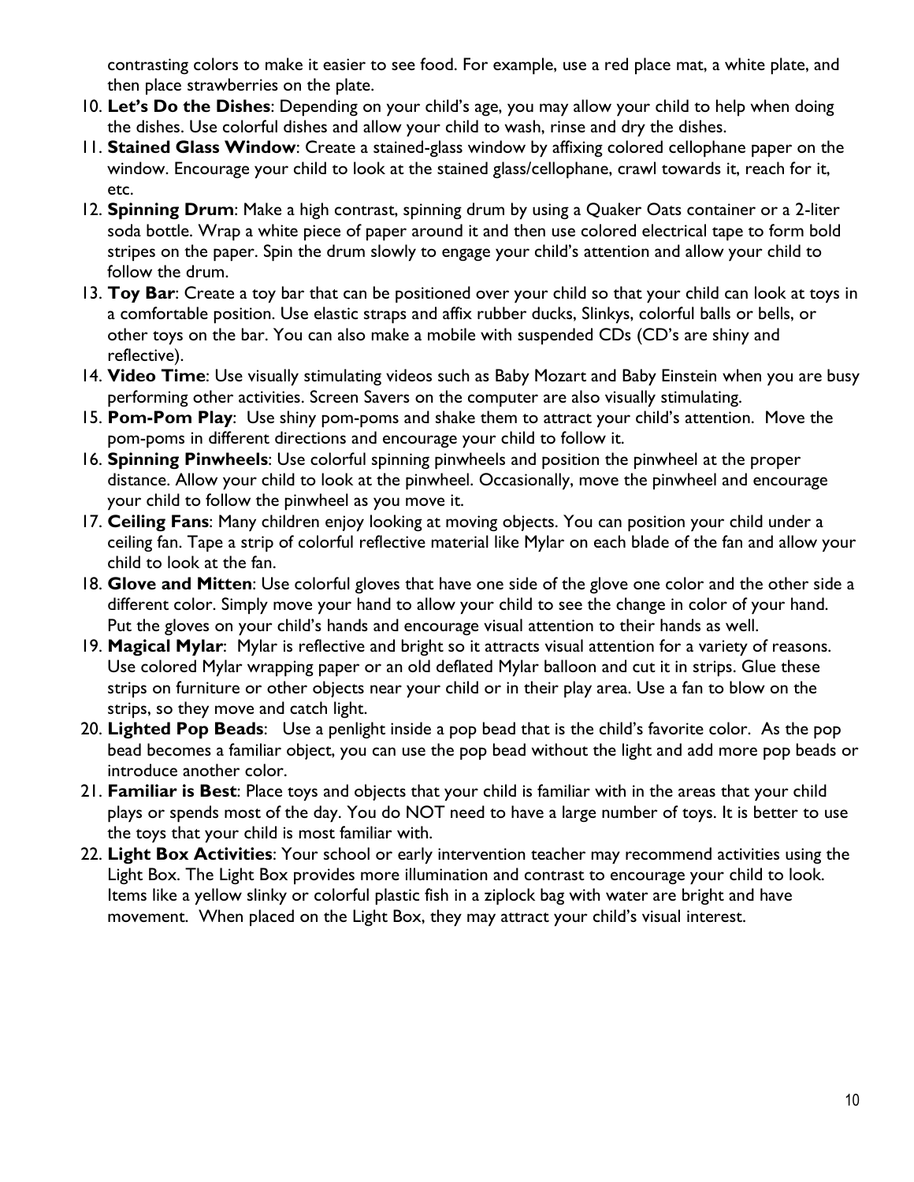contrasting colors to make it easier to see food. For example, use a red place mat, a white plate, and then place strawberries on the plate.

- 10. **Let's Do the Dishes**: Depending on your child's age, you may allow your child to help when doing the dishes. Use colorful dishes and allow your child to wash, rinse and dry the dishes.
- 11. **Stained Glass Window**: Create a stained-glass window by affixing colored cellophane paper on the window. Encourage your child to look at the stained glass/cellophane, crawl towards it, reach for it, etc.
- 12. **Spinning Drum**: Make a high contrast, spinning drum by using a Quaker Oats container or a 2-liter soda bottle. Wrap a white piece of paper around it and then use colored electrical tape to form bold stripes on the paper. Spin the drum slowly to engage your child's attention and allow your child to follow the drum.
- 13. **Toy Bar**: Create a toy bar that can be positioned over your child so that your child can look at toys in a comfortable position. Use elastic straps and affix rubber ducks, Slinkys, colorful balls or bells, or other toys on the bar. You can also make a mobile with suspended CDs (CD's are shiny and reflective).
- 14. **Video Time**: Use visually stimulating videos such as Baby Mozart and Baby Einstein when you are busy performing other activities. Screen Savers on the computer are also visually stimulating.
- 15. **Pom-Pom Play**: Use shiny pom-poms and shake them to attract your child's attention. Move the pom-poms in different directions and encourage your child to follow it.
- 16. **Spinning Pinwheels**: Use colorful spinning pinwheels and position the pinwheel at the proper distance. Allow your child to look at the pinwheel. Occasionally, move the pinwheel and encourage your child to follow the pinwheel as you move it.
- 17. **Ceiling Fans**: Many children enjoy looking at moving objects. You can position your child under a ceiling fan. Tape a strip of colorful reflective material like Mylar on each blade of the fan and allow your child to look at the fan.
- 18. **Glove and Mitten**: Use colorful gloves that have one side of the glove one color and the other side a different color. Simply move your hand to allow your child to see the change in color of your hand. Put the gloves on your child's hands and encourage visual attention to their hands as well.
- 19. **Magical Mylar**: Mylar is reflective and bright so it attracts visual attention for a variety of reasons. Use colored Mylar wrapping paper or an old deflated Mylar balloon and cut it in strips. Glue these strips on furniture or other objects near your child or in their play area. Use a fan to blow on the strips, so they move and catch light.
- 20. **Lighted Pop Beads**: Use a penlight inside a pop bead that is the child's favorite color. As the pop bead becomes a familiar object, you can use the pop bead without the light and add more pop beads or introduce another color.
- 21. **Familiar is Best**: Place toys and objects that your child is familiar with in the areas that your child plays or spends most of the day. You do NOT need to have a large number of toys. It is better to use the toys that your child is most familiar with.
- 22. **Light Box Activities**: Your school or early intervention teacher may recommend activities using the Light Box. The Light Box provides more illumination and contrast to encourage your child to look. Items like a yellow slinky or colorful plastic fish in a ziplock bag with water are bright and have movement. When placed on the Light Box, they may attract your child's visual interest.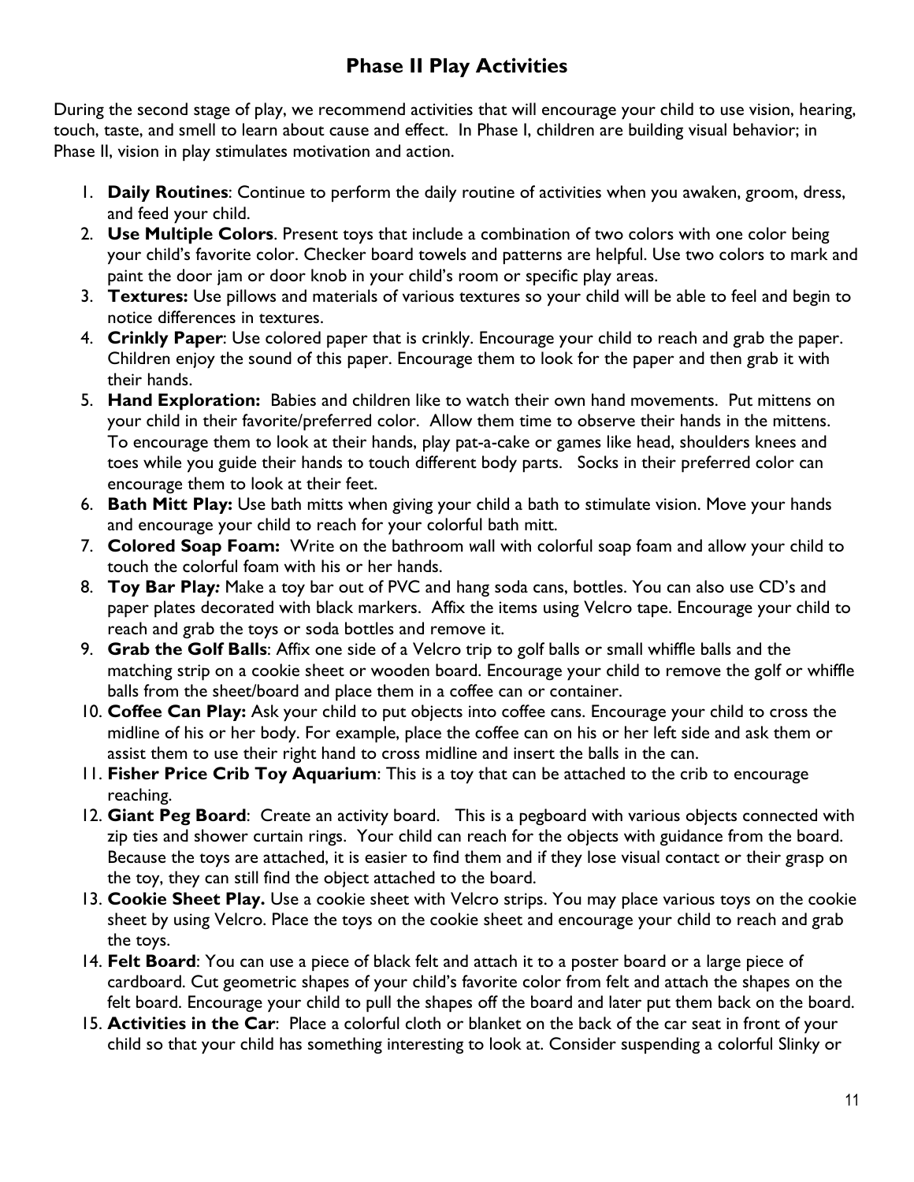## **Phase II Play Activities**

During the second stage of play, we recommend activities that will encourage your child to use vision, hearing, touch, taste, and smell to learn about cause and effect. In Phase I, children are building visual behavior; in Phase II, vision in play stimulates motivation and action.

- 1. **Daily Routines**: Continue to perform the daily routine of activities when you awaken, groom, dress, and feed your child.
- 2. **Use Multiple Colors**. Present toys that include a combination of two colors with one color being your child's favorite color. Checker board towels and patterns are helpful. Use two colors to mark and paint the door jam or door knob in your child's room or specific play areas.
- 3. **Textures:** Use pillows and materials of various textures so your child will be able to feel and begin to notice differences in textures.
- 4. **Crinkly Paper**: Use colored paper that is crinkly. Encourage your child to reach and grab the paper. Children enjoy the sound of this paper. Encourage them to look for the paper and then grab it with their hands.
- 5. **Hand Exploration:** Babies and children like to watch their own hand movements. Put mittens on your child in their favorite/preferred color. Allow them time to observe their hands in the mittens. To encourage them to look at their hands, play pat-a-cake or games like head, shoulders knees and toes while you guide their hands to touch different body parts. Socks in their preferred color can encourage them to look at their feet.
- 6. **Bath Mitt Play:** Use bath mitts when giving your child a bath to stimulate vision. Move your hands and encourage your child to reach for your colorful bath mitt.
- 7. **Colored Soap Foam:** Write on the bathroom *w*all with colorful soap foam and allow your child to touch the colorful foam with his or her hands.
- 8. **Toy Bar Play***:* Make a toy bar out of PVC and hang soda cans, bottles. You can also use CD's and paper plates decorated with black markers. Affix the items using Velcro tape. Encourage your child to reach and grab the toys or soda bottles and remove it.
- 9. **Grab the Golf Balls**: Affix one side of a Velcro trip to golf balls or small whiffle balls and the matching strip on a cookie sheet or wooden board. Encourage your child to remove the golf or whiffle balls from the sheet/board and place them in a coffee can or container.
- 10. **Coffee Can Play:** Ask your child to put objects into coffee cans. Encourage your child to cross the midline of his or her body. For example, place the coffee can on his or her left side and ask them or assist them to use their right hand to cross midline and insert the balls in the can.
- 11. **Fisher Price Crib Toy Aquarium**: This is a toy that can be attached to the crib to encourage reaching.
- 12. **Giant Peg Board**: Create an activity board. This is a pegboard with various objects connected with zip ties and shower curtain rings. Your child can reach for the objects with guidance from the board. Because the toys are attached, it is easier to find them and if they lose visual contact or their grasp on the toy, they can still find the object attached to the board.
- 13. **Cookie Sheet Play.** Use a cookie sheet with Velcro strips. You may place various toys on the cookie sheet by using Velcro. Place the toys on the cookie sheet and encourage your child to reach and grab the toys.
- 14. **Felt Board**: You can use a piece of black felt and attach it to a poster board or a large piece of cardboard. Cut geometric shapes of your child's favorite color from felt and attach the shapes on the felt board. Encourage your child to pull the shapes off the board and later put them back on the board.
- 15. **Activities in the Car**: Place a colorful cloth or blanket on the back of the car seat in front of your child so that your child has something interesting to look at. Consider suspending a colorful Slinky or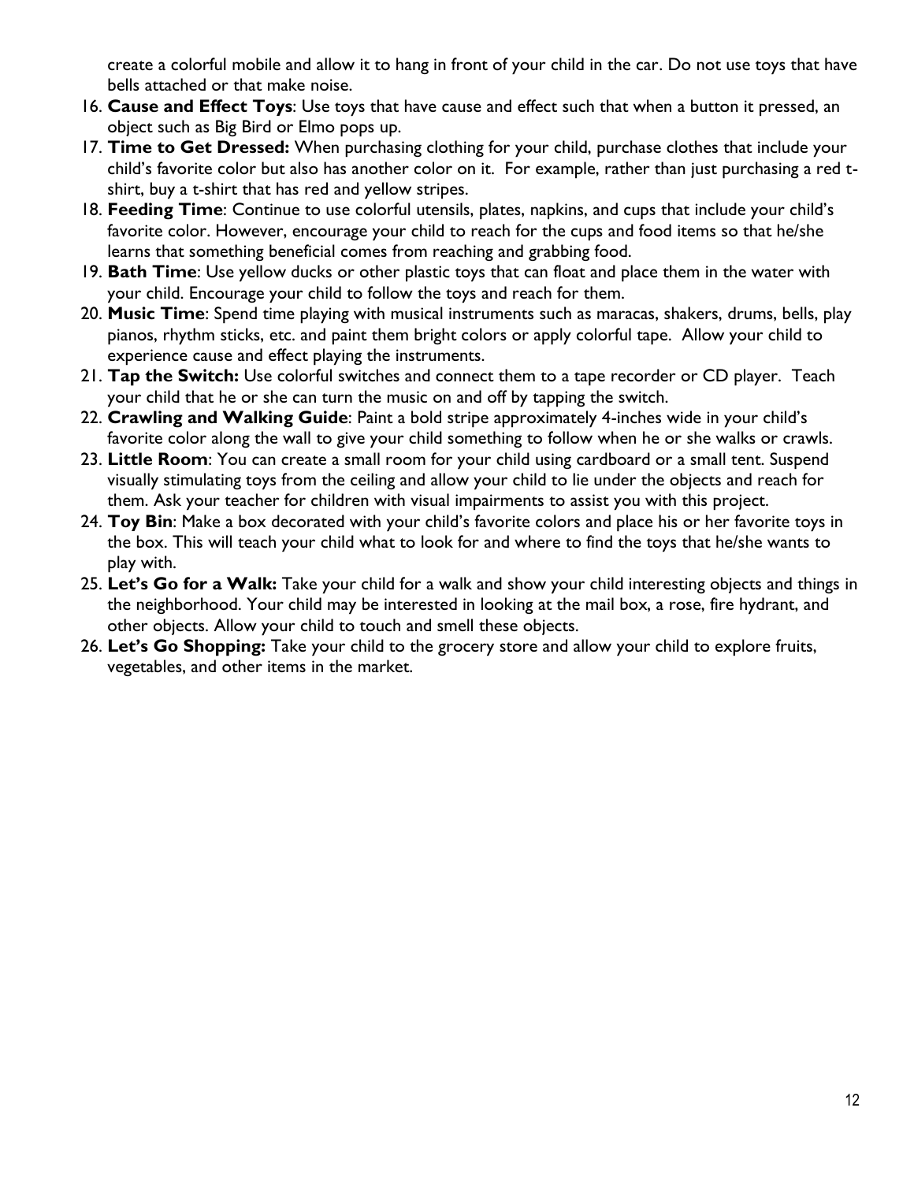create a colorful mobile and allow it to hang in front of your child in the car. Do not use toys that have bells attached or that make noise.

- 16. **Cause and Effect Toys**: Use toys that have cause and effect such that when a button it pressed, an object such as Big Bird or Elmo pops up.
- 17. **Time to Get Dressed:** When purchasing clothing for your child, purchase clothes that include your child's favorite color but also has another color on it. For example, rather than just purchasing a red tshirt, buy a t-shirt that has red and yellow stripes.
- 18. **Feeding Time**: Continue to use colorful utensils, plates, napkins, and cups that include your child's favorite color. However, encourage your child to reach for the cups and food items so that he/she learns that something beneficial comes from reaching and grabbing food.
- 19. **Bath Time**: Use yellow ducks or other plastic toys that can float and place them in the water with your child. Encourage your child to follow the toys and reach for them.
- 20. **Music Time**: Spend time playing with musical instruments such as maracas, shakers, drums, bells, play pianos, rhythm sticks, etc. and paint them bright colors or apply colorful tape. Allow your child to experience cause and effect playing the instruments.
- 21. **Tap the Switch:** Use colorful switches and connect them to a tape recorder or CD player. Teach your child that he or she can turn the music on and off by tapping the switch.
- 22. **Crawling and Walking Guide**: Paint a bold stripe approximately 4-inches wide in your child's favorite color along the wall to give your child something to follow when he or she walks or crawls.
- 23. **Little Room**: You can create a small room for your child using cardboard or a small tent. Suspend visually stimulating toys from the ceiling and allow your child to lie under the objects and reach for them. Ask your teacher for children with visual impairments to assist you with this project.
- 24. **Toy Bin**: Make a box decorated with your child's favorite colors and place his or her favorite toys in the box. This will teach your child what to look for and where to find the toys that he/she wants to play with.
- 25. **Let's Go for a Walk:** Take your child for a walk and show your child interesting objects and things in the neighborhood. Your child may be interested in looking at the mail box, a rose, fire hydrant, and other objects. Allow your child to touch and smell these objects.
- 26. **Let's Go Shopping:** Take your child to the grocery store and allow your child to explore fruits, vegetables, and other items in the market.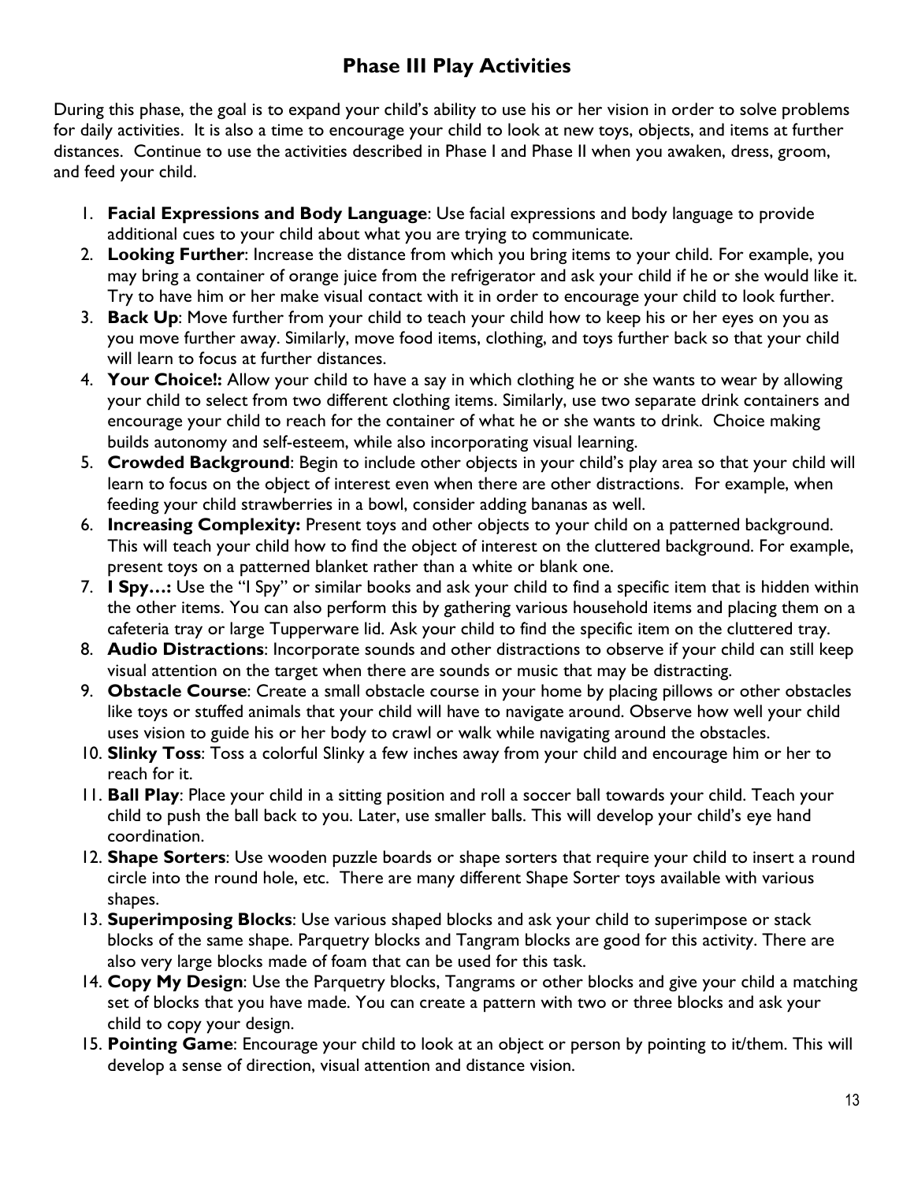## **Phase III Play Activities**

During this phase, the goal is to expand your child's ability to use his or her vision in order to solve problems for daily activities. It is also a time to encourage your child to look at new toys, objects, and items at further distances. Continue to use the activities described in Phase I and Phase II when you awaken, dress, groom, and feed your child.

- 1. **Facial Expressions and Body Language**: Use facial expressions and body language to provide additional cues to your child about what you are trying to communicate.
- 2. **Looking Further**: Increase the distance from which you bring items to your child. For example, you may bring a container of orange juice from the refrigerator and ask your child if he or she would like it. Try to have him or her make visual contact with it in order to encourage your child to look further.
- 3. **Back Up**: Move further from your child to teach your child how to keep his or her eyes on you as you move further away. Similarly, move food items, clothing, and toys further back so that your child will learn to focus at further distances.
- 4. **Your Choice!:** Allow your child to have a say in which clothing he or she wants to wear by allowing your child to select from two different clothing items. Similarly, use two separate drink containers and encourage your child to reach for the container of what he or she wants to drink. Choice making builds autonomy and self-esteem, while also incorporating visual learning.
- 5. **Crowded Background**: Begin to include other objects in your child's play area so that your child will learn to focus on the object of interest even when there are other distractions. For example, when feeding your child strawberries in a bowl, consider adding bananas as well.
- 6. **Increasing Complexity:** Present toys and other objects to your child on a patterned background. This will teach your child how to find the object of interest on the cluttered background. For example, present toys on a patterned blanket rather than a white or blank one.
- 7. **I Spy…:** Use the "I Spy" or similar books and ask your child to find a specific item that is hidden within the other items. You can also perform this by gathering various household items and placing them on a cafeteria tray or large Tupperware lid. Ask your child to find the specific item on the cluttered tray.
- 8. **Audio Distractions**: Incorporate sounds and other distractions to observe if your child can still keep visual attention on the target when there are sounds or music that may be distracting.
- 9. **Obstacle Course**: Create a small obstacle course in your home by placing pillows or other obstacles like toys or stuffed animals that your child will have to navigate around. Observe how well your child uses vision to guide his or her body to crawl or walk while navigating around the obstacles.
- 10. **Slinky Toss**: Toss a colorful Slinky a few inches away from your child and encourage him or her to reach for it.
- 11. **Ball Play**: Place your child in a sitting position and roll a soccer ball towards your child. Teach your child to push the ball back to you. Later, use smaller balls. This will develop your child's eye hand coordination.
- 12. **Shape Sorters**: Use wooden puzzle boards or shape sorters that require your child to insert a round circle into the round hole, etc. There are many different Shape Sorter toys available with various shapes.
- 13. **Superimposing Blocks**: Use various shaped blocks and ask your child to superimpose or stack blocks of the same shape. Parquetry blocks and Tangram blocks are good for this activity. There are also very large blocks made of foam that can be used for this task.
- 14. **Copy My Design**: Use the Parquetry blocks, Tangrams or other blocks and give your child a matching set of blocks that you have made. You can create a pattern with two or three blocks and ask your child to copy your design.
- 15. **Pointing Game**: Encourage your child to look at an object or person by pointing to it/them. This will develop a sense of direction, visual attention and distance vision.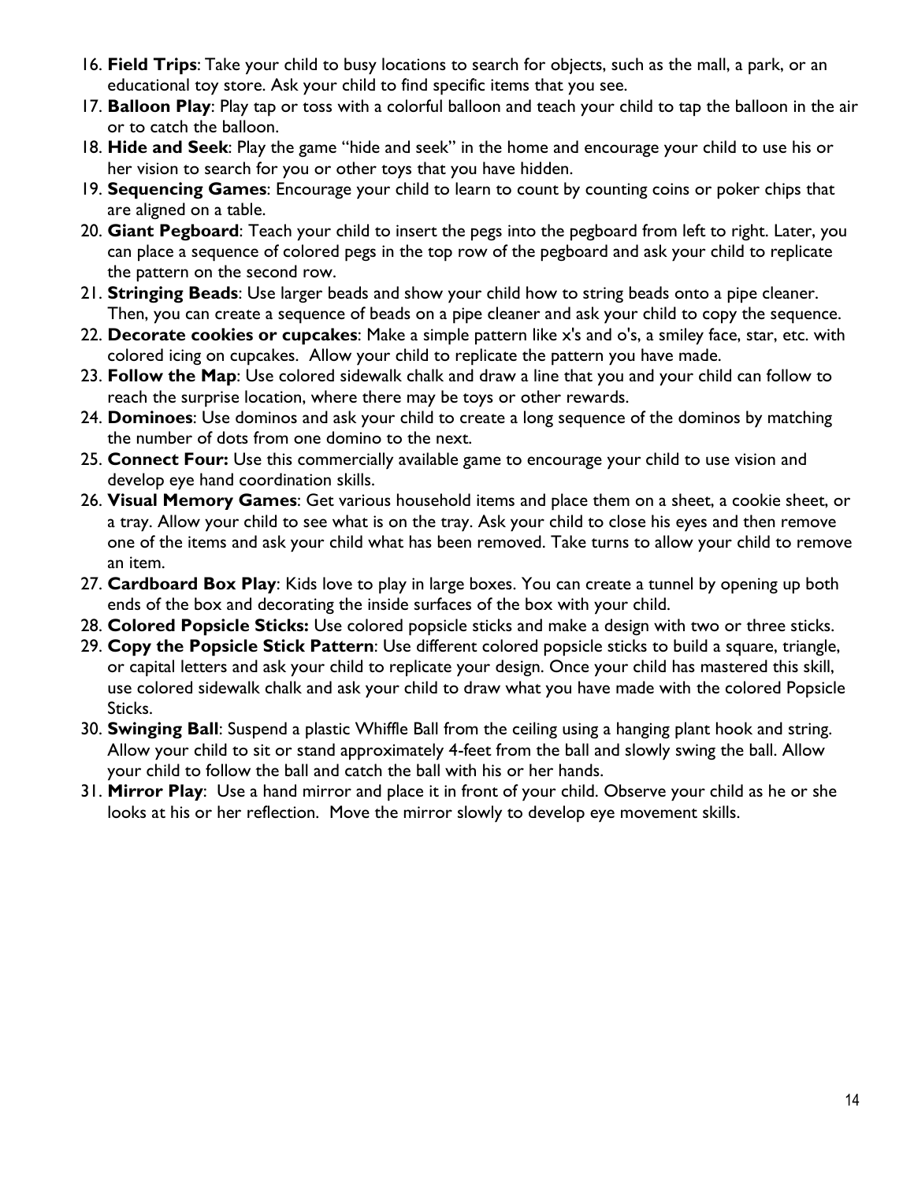- 16. **Field Trips**: Take your child to busy locations to search for objects, such as the mall, a park, or an educational toy store. Ask your child to find specific items that you see.
- 17. **Balloon Play**: Play tap or toss with a colorful balloon and teach your child to tap the balloon in the air or to catch the balloon.
- 18. **Hide and Seek**: Play the game "hide and seek" in the home and encourage your child to use his or her vision to search for you or other toys that you have hidden.
- 19. **Sequencing Games**: Encourage your child to learn to count by counting coins or poker chips that are aligned on a table.
- 20. **Giant Pegboard**: Teach your child to insert the pegs into the pegboard from left to right. Later, you can place a sequence of colored pegs in the top row of the pegboard and ask your child to replicate the pattern on the second row.
- 21. **Stringing Beads**: Use larger beads and show your child how to string beads onto a pipe cleaner. Then, you can create a sequence of beads on a pipe cleaner and ask your child to copy the sequence.
- 22. **Decorate cookies or cupcakes**: Make a simple pattern like x's and o's, a smiley face, star, etc. with colored icing on cupcakes. Allow your child to replicate the pattern you have made.
- 23. **Follow the Map**: Use colored sidewalk chalk and draw a line that you and your child can follow to reach the surprise location, where there may be toys or other rewards.
- 24. **Dominoes**: Use dominos and ask your child to create a long sequence of the dominos by matching the number of dots from one domino to the next.
- 25. **Connect Four:** Use this commercially available game to encourage your child to use vision and develop eye hand coordination skills.
- 26. **Visual Memory Games**: Get various household items and place them on a sheet, a cookie sheet, or a tray. Allow your child to see what is on the tray. Ask your child to close his eyes and then remove one of the items and ask your child what has been removed. Take turns to allow your child to remove an item.
- 27. **Cardboard Box Play**: Kids love to play in large boxes. You can create a tunnel by opening up both ends of the box and decorating the inside surfaces of the box with your child.
- 28. **Colored Popsicle Sticks:** Use colored popsicle sticks and make a design with two or three sticks.
- 29. **Copy the Popsicle Stick Pattern**: Use different colored popsicle sticks to build a square, triangle, or capital letters and ask your child to replicate your design. Once your child has mastered this skill, use colored sidewalk chalk and ask your child to draw what you have made with the colored Popsicle Sticks.
- 30. **Swinging Ball**: Suspend a plastic Whiffle Ball from the ceiling using a hanging plant hook and string. Allow your child to sit or stand approximately 4-feet from the ball and slowly swing the ball. Allow your child to follow the ball and catch the ball with his or her hands.
- 31. **Mirror Play**: Use a hand mirror and place it in front of your child. Observe your child as he or she looks at his or her reflection. Move the mirror slowly to develop eye movement skills.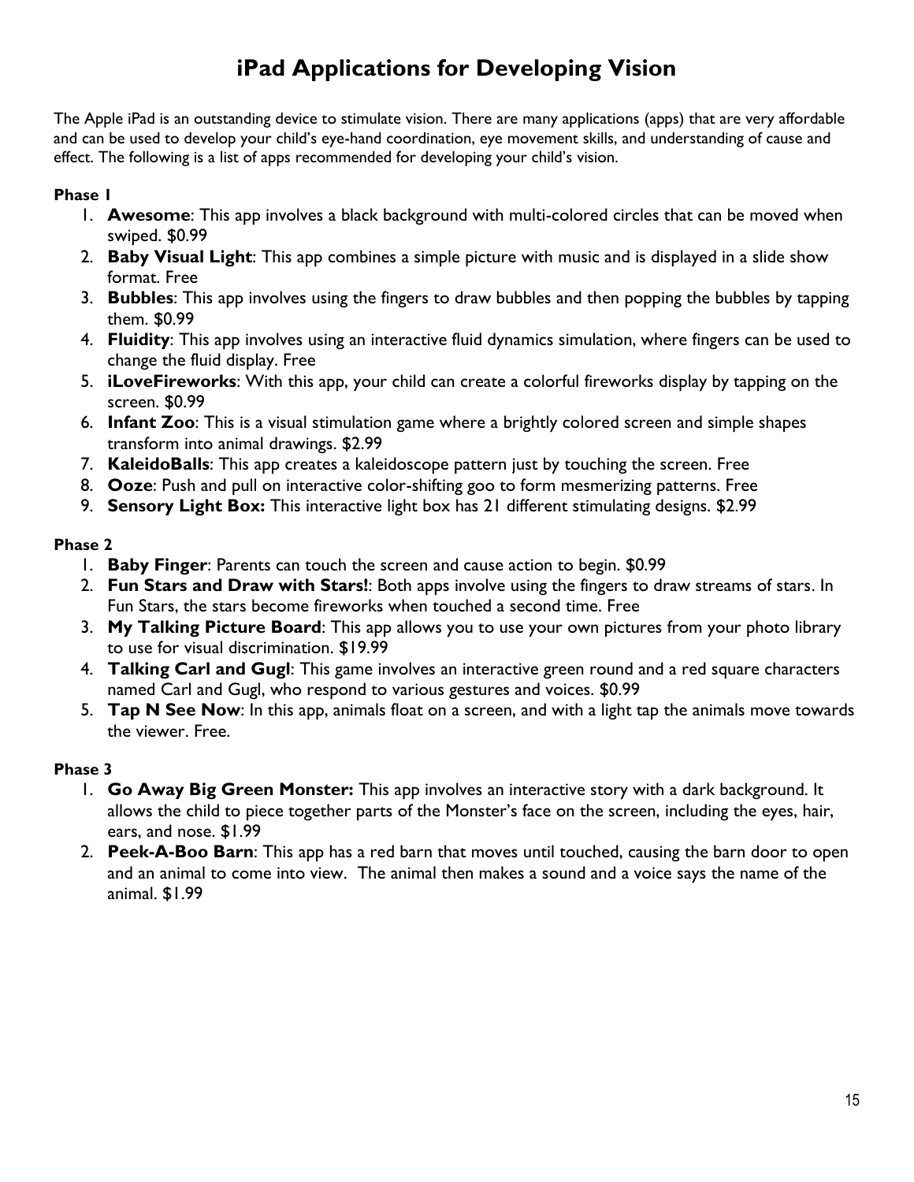## **iPad Applications for Developing Vision**

The Apple iPad is an outstanding device to stimulate vision. There are many applications (apps) that are very affordable and can be used to develop your child's eye-hand coordination, eye movement skills, and understanding of cause and effect. The following is a list of apps recommended for developing your child's vision.

#### **Phase 1**

- 1. **Awesome**: This app involves a black background with multi-colored circles that can be moved when swiped. \$0.99
- 2. **Baby Visual Light**: This app combines a simple picture with music and is displayed in a slide show format. Free
- 3. **Bubbles**: This app involves using the fingers to draw bubbles and then popping the bubbles by tapping them. \$0.99
- 4. **Fluidity**: This app involves using an interactive fluid dynamics simulation, where fingers can be used to change the fluid display. Free
- 5. **iLoveFireworks**: With this app, your child can create a colorful fireworks display by tapping on the screen. \$0.99
- 6. **Infant Zoo**: This is a visual stimulation game where a brightly colored screen and simple shapes transform into animal drawings. \$2.99
- 7. **KaleidoBalls**: This app creates a kaleidoscope pattern just by touching the screen. Free
- 8. **Ooze**: Push and pull on interactive color-shifting goo to form mesmerizing patterns. Free
- 9. **Sensory Light Box:** This interactive light box has 21 different stimulating designs. \$2.99

#### **Phase 2**

- 1. **Baby Finger**: Parents can touch the screen and cause action to begin. \$0.99
- 2. **Fun Stars and Draw with Stars!**: Both apps involve using the fingers to draw streams of stars. In Fun Stars, the stars become fireworks when touched a second time. Free
- 3. **My Talking Picture Board**: This app allows you to use your own pictures from your photo library to use for visual discrimination. \$19.99
- 4. **Talking Carl and Gugl**: This game involves an interactive green round and a red square characters named Carl and Gugl, who respond to various gestures and voices. \$0.99
- 5. **Tap N See Now**: In this app, animals float on a screen, and with a light tap the animals move towards the viewer. Free.

#### **Phase 3**

- 1. **Go Away Big Green Monster:** This app involves an interactive story with a dark background. It allows the child to piece together parts of the Monster's face on the screen, including the eyes, hair, ears, and nose. \$1.99
- 2. **Peek-A-Boo Barn**: This app has a red barn that moves until touched, causing the barn door to open and an animal to come into view. The animal then makes a sound and a voice says the name of the animal. \$1.99